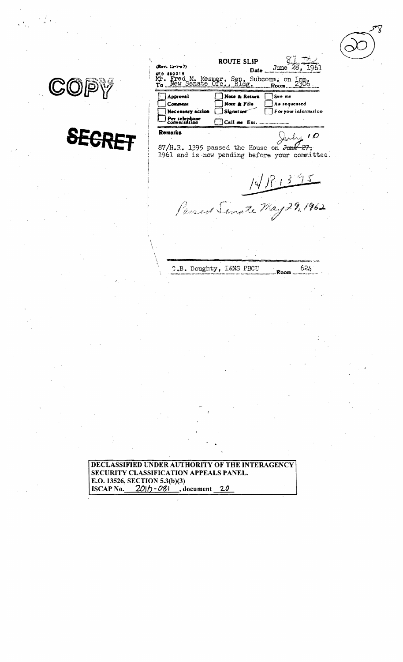$\overline{\mathbb{C}}$   $\mathbb{C}$ 

**SECRET** 

| (Rev. 12-7-27)                                           | $\frac{87}{28}$ , 1961<br>ROUTE SLIP                                                                         |  |
|----------------------------------------------------------|--------------------------------------------------------------------------------------------------------------|--|
| GF 1                                                     | Date                                                                                                         |  |
| Approval<br>Comment<br>Necessary action<br>Per telephone | Note & Return<br>  See me<br>Note & File<br>As requested<br>For your information<br>Signature<br>Call me Ext |  |
| Remarka                                                  | July 10<br>87/H.R. 1395 passed the House on June<br>1961 and is now pending before your committee.           |  |
|                                                          | N R 1375<br>Pensed Senate May 29, 1962                                                                       |  |
|                                                          |                                                                                                              |  |

DECLASSIFIED UNDER AUTHORITY OF THE INTERAGENCY SECURITY CLASSIFICATION APPEALS PANEL. E.O. 13526, SECTION 5.3(b)(3)<br>ISCAP No.  $201b - 081$ , document 20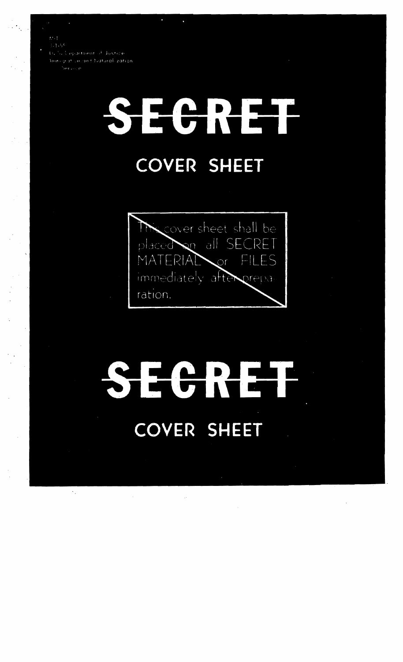Industrial on an finatural zation.

 $\mathbf{v}_\alpha$ 

# $\sqrt{2}$

### **COVER SHEET**

Necover sheet shall be placed on all SECRET MATERIAL  $\Box$ ES  $\overline{or}$ immediately after preparation.

# **COVER SHEET**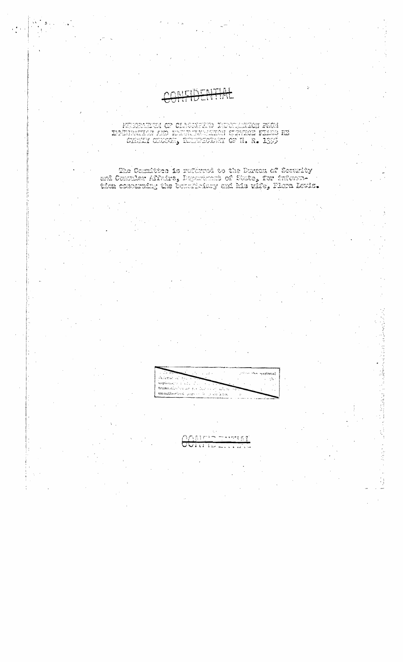### **MAR ROLL** MUSICARI OP OLISERTIND DEUT IMCHRITZE AN INFRIDERINGE CHWICE FILES RE STORITY CRUSON, RONDWESTER OF N. R. 1397

## The Committee is ruffered to the Durant of Security<br>and Comoular Affairs, Depurteering of State, for Anferso-<br>the conserning the beneficiary and his vife, Plora Lewis.

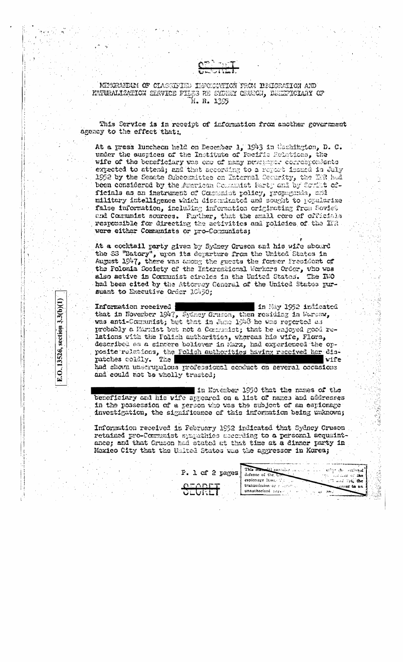

MEMCRANDIM OF CLASSIFIED INFORMATION PROM INDIGRANDION AND MYTURALIZATION SERVICE FILZS RE EYDERY CRUEON, BERZTICIARY OF H. R. 1395

This Service is in receipt of information from another government agency to the effect that:

At a press luncheon held on December 1, 1943 in Mashington, D. C. under the auspices of the Institute of Pacific Relations, the wife of the beneficiary was one of many newspaper correspondents expected to attend; and that according to a report issued in July 1992 by the Senate Subcommittee on Internal Cecurity, the IFR had been considered by the American Commanist Party and by Cordit officials as an instrument of Communicipolicy, propagands, and military intelligence which dissuminated and sought to popularize false information, including information originating from Soviet and Communist sources. Further, that the small core of officials responsible for directing the activities and policies of the ITR were either Communists or pro-Communists;

At a cocktail party given by Sydney Gruson and his wife abourd the SS "Batory", upon its departure from the United States in August 1947, there was among the guests the former President of the Polonia Society of the International Workers Order, who was also active in Communist circles in the United States. The IWO had been cited by the Attorney General of the United States pursuant to Executive Order 10450;

Information received in May 1952 indicated that in November 1947, Sydney Gruson, then residing in Worsew, was anti-Comunist; but that in June 1948 he was reported as probably a Marxist but not a Commenist; that he enjoyed good relations with the Folish authorities, whereas his wife, Flora, described as a sincere boliever in Marx, had experienced the opposite relations, the Polish authorities having recoived her dispatches coldly. The vife had shown unscrupalous professional conduct on several occasions and could not be wholly trusted;

 $3.3(b)$  $(1$ 

section

0.13526,

تعآ

In Kovember 1950 that the names of the bereficiary and his wife appeared on a list of names and addresses in the possession of a gerson who was the subject of an espionage investigation, the significance of this information being unknown;

Information received in February 1952 indicated that Sydney Gruson retained pro-Communist sympathies according to a personal acquaintance; and that Gruson had stated at that time at a dinner party in Mexico City that the United States was the aggressor in Korea;

| P. 1 of 2 pages | This manual contains manual and competite included I<br>defense of the Ultra<br>1955 alaliar of <b>Sko \$</b> -1<br>cspionage laws. The case |
|-----------------|----------------------------------------------------------------------------------------------------------------------------------------------|
| ጠግጣሞቸ           | <b>Contained Total the 1</b><br>transmission or recent<br><i><u><b>ALLITTEE</b></u></i> to an<br>unauthorized personal control of any        |